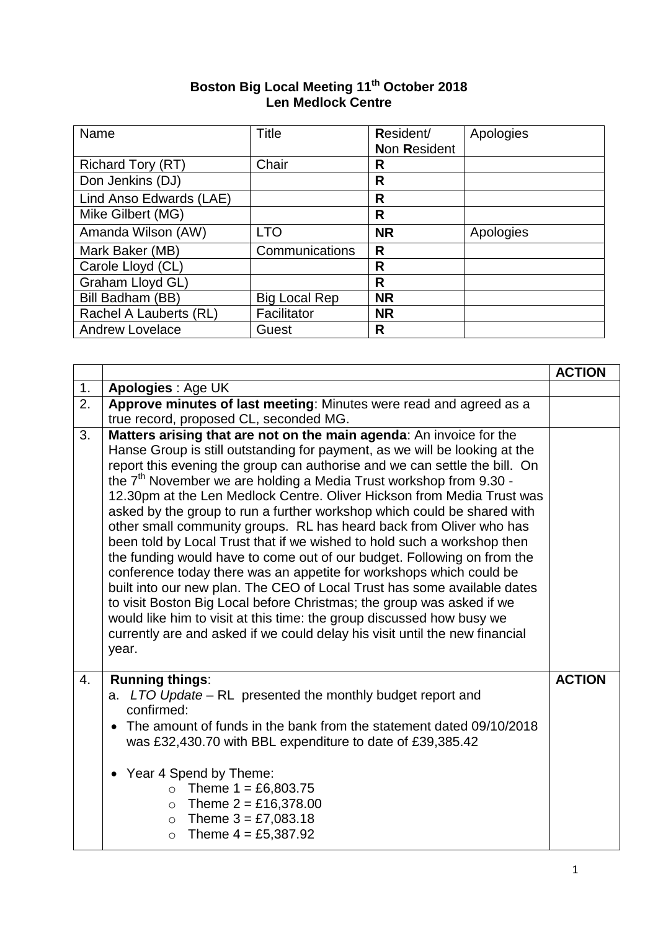| Boston Big Local Meeting 11 <sup>th</sup> October 2018 |  |
|--------------------------------------------------------|--|
| <b>Len Medlock Centre</b>                              |  |

| Name                     | <b>Title</b>         | Resident/    | Apologies |
|--------------------------|----------------------|--------------|-----------|
|                          |                      | Non Resident |           |
| <b>Richard Tory (RT)</b> | Chair                | R            |           |
| Don Jenkins (DJ)         |                      | R            |           |
| Lind Anso Edwards (LAE)  |                      | R            |           |
| Mike Gilbert (MG)        |                      | R            |           |
| Amanda Wilson (AW)       | <b>LTO</b>           | <b>NR</b>    | Apologies |
| Mark Baker (MB)          | Communications       | R            |           |
| Carole Lloyd (CL)        |                      | R            |           |
| Graham Lloyd GL)         |                      | R            |           |
| Bill Badham (BB)         | <b>Big Local Rep</b> | <b>NR</b>    |           |
| Rachel A Lauberts (RL)   | Facilitator          | <b>NR</b>    |           |
| <b>Andrew Lovelace</b>   | Guest                | R            |           |

|    |                                                                                                                                                                                                                                                                                                                                                                                                                                                                                                                                                                                                                                                                                                                                                                                                                                                                                                                                                                                                                                                                                        | <b>ACTION</b> |
|----|----------------------------------------------------------------------------------------------------------------------------------------------------------------------------------------------------------------------------------------------------------------------------------------------------------------------------------------------------------------------------------------------------------------------------------------------------------------------------------------------------------------------------------------------------------------------------------------------------------------------------------------------------------------------------------------------------------------------------------------------------------------------------------------------------------------------------------------------------------------------------------------------------------------------------------------------------------------------------------------------------------------------------------------------------------------------------------------|---------------|
| 1. | Apologies : Age UK                                                                                                                                                                                                                                                                                                                                                                                                                                                                                                                                                                                                                                                                                                                                                                                                                                                                                                                                                                                                                                                                     |               |
| 2. | Approve minutes of last meeting: Minutes were read and agreed as a<br>true record, proposed CL, seconded MG.                                                                                                                                                                                                                                                                                                                                                                                                                                                                                                                                                                                                                                                                                                                                                                                                                                                                                                                                                                           |               |
| 3. | Matters arising that are not on the main agenda: An invoice for the<br>Hanse Group is still outstanding for payment, as we will be looking at the<br>report this evening the group can authorise and we can settle the bill. On<br>the $7th$ November we are holding a Media Trust workshop from 9.30 -<br>12.30pm at the Len Medlock Centre. Oliver Hickson from Media Trust was<br>asked by the group to run a further workshop which could be shared with<br>other small community groups. RL has heard back from Oliver who has<br>been told by Local Trust that if we wished to hold such a workshop then<br>the funding would have to come out of our budget. Following on from the<br>conference today there was an appetite for workshops which could be<br>built into our new plan. The CEO of Local Trust has some available dates<br>to visit Boston Big Local before Christmas; the group was asked if we<br>would like him to visit at this time: the group discussed how busy we<br>currently are and asked if we could delay his visit until the new financial<br>year. |               |
| 4. | <b>Running things:</b><br>a. LTO Update – RL presented the monthly budget report and<br>confirmed:<br>The amount of funds in the bank from the statement dated 09/10/2018<br>was £32,430.70 with BBL expenditure to date of £39,385.42<br>Year 4 Spend by Theme:                                                                                                                                                                                                                                                                                                                                                                                                                                                                                                                                                                                                                                                                                                                                                                                                                       | <b>ACTION</b> |
|    | • Theme $1 = £6,803.75$<br>• Theme $2 = £16,378.00$<br>• Theme $3 = £7,083.18$<br>• Theme $4 = £5,387.92$                                                                                                                                                                                                                                                                                                                                                                                                                                                                                                                                                                                                                                                                                                                                                                                                                                                                                                                                                                              |               |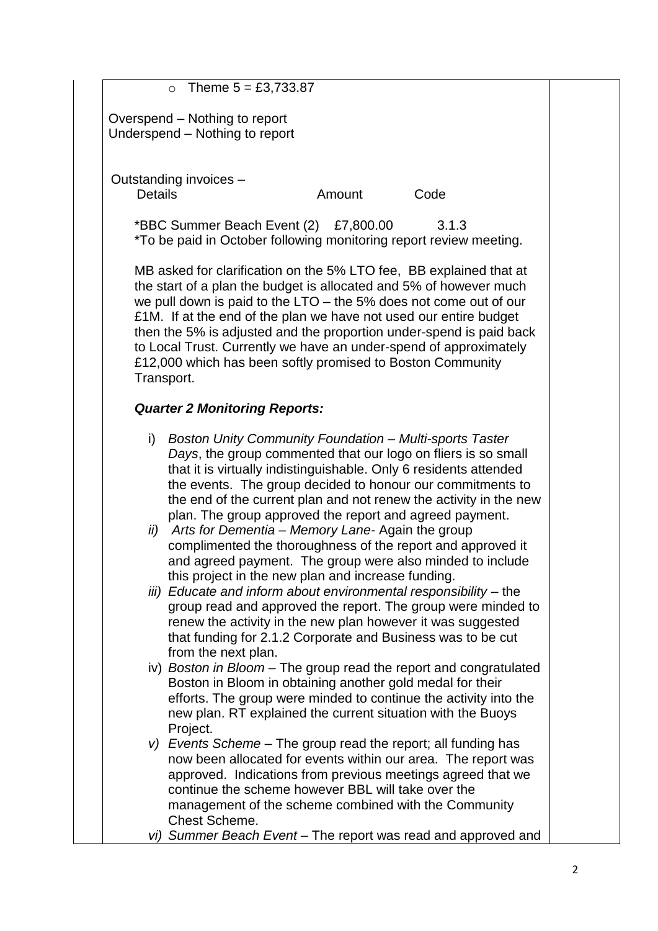$O$  Theme  $5 = £3,733.87$ 

Overspend – Nothing to report Underspend – Nothing to report

Outstanding invoices –

Details **Details** Amount Code

\*BBC Summer Beach Event (2) £7,800.00 3.1.3 \*To be paid in October following monitoring report review meeting.

MB asked for clarification on the 5% LTO fee, BB explained that at the start of a plan the budget is allocated and 5% of however much we pull down is paid to the LTO – the 5% does not come out of our £1M. If at the end of the plan we have not used our entire budget then the 5% is adjusted and the proportion under-spend is paid back to Local Trust. Currently we have an under-spend of approximately £12,000 which has been softly promised to Boston Community Transport.

## *Quarter 2 Monitoring Reports:*

- i) *Boston Unity Community Foundation – Multi-sports Taster Days*, the group commented that our logo on fliers is so small that it is virtually indistinguishable. Only 6 residents attended the events. The group decided to honour our commitments to the end of the current plan and not renew the activity in the new plan. The group approved the report and agreed payment.
- *ii) Arts for Dementia – Memory Lane-* Again the group complimented the thoroughness of the report and approved it and agreed payment. The group were also minded to include this project in the new plan and increase funding.
- *iii) Educate and inform about environmental responsibility –* the group read and approved the report. The group were minded to renew the activity in the new plan however it was suggested that funding for 2.1.2 Corporate and Business was to be cut from the next plan.
- iv) *Boston in Bloom* The group read the report and congratulated Boston in Bloom in obtaining another gold medal for their efforts. The group were minded to continue the activity into the new plan. RT explained the current situation with the Buoys Project.
- *v) Events Scheme –* The group read the report; all funding has now been allocated for events within our area. The report was approved. Indications from previous meetings agreed that we continue the scheme however BBL will take over the management of the scheme combined with the Community Chest Scheme.
- *vi) Summer Beach Event* The report was read and approved and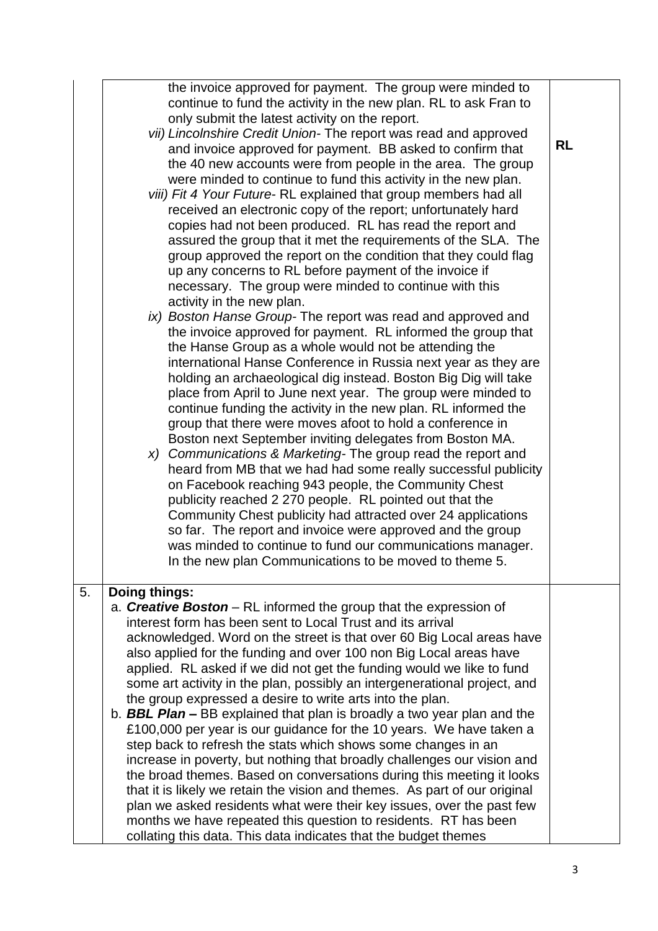|    | the invoice approved for payment. The group were minded to<br>continue to fund the activity in the new plan. RL to ask Fran to<br>only submit the latest activity on the report.<br>vii) Lincolnshire Credit Union-The report was read and approved<br>and invoice approved for payment. BB asked to confirm that<br>the 40 new accounts were from people in the area. The group<br>were minded to continue to fund this activity in the new plan.<br>viii) Fit 4 Your Future-RL explained that group members had all<br>received an electronic copy of the report; unfortunately hard<br>copies had not been produced. RL has read the report and<br>assured the group that it met the requirements of the SLA. The<br>group approved the report on the condition that they could flag<br>up any concerns to RL before payment of the invoice if<br>necessary. The group were minded to continue with this<br>activity in the new plan.<br>ix) Boston Hanse Group- The report was read and approved and<br>the invoice approved for payment. RL informed the group that<br>the Hanse Group as a whole would not be attending the<br>international Hanse Conference in Russia next year as they are<br>holding an archaeological dig instead. Boston Big Dig will take<br>place from April to June next year. The group were minded to<br>continue funding the activity in the new plan. RL informed the<br>group that there were moves afoot to hold a conference in<br>Boston next September inviting delegates from Boston MA.<br>x) Communications & Marketing-The group read the report and<br>heard from MB that we had had some really successful publicity<br>on Facebook reaching 943 people, the Community Chest<br>publicity reached 2 270 people. RL pointed out that the<br>Community Chest publicity had attracted over 24 applications<br>so far. The report and invoice were approved and the group<br>was minded to continue to fund our communications manager.<br>In the new plan Communications to be moved to theme 5. | <b>RL</b> |
|----|---------------------------------------------------------------------------------------------------------------------------------------------------------------------------------------------------------------------------------------------------------------------------------------------------------------------------------------------------------------------------------------------------------------------------------------------------------------------------------------------------------------------------------------------------------------------------------------------------------------------------------------------------------------------------------------------------------------------------------------------------------------------------------------------------------------------------------------------------------------------------------------------------------------------------------------------------------------------------------------------------------------------------------------------------------------------------------------------------------------------------------------------------------------------------------------------------------------------------------------------------------------------------------------------------------------------------------------------------------------------------------------------------------------------------------------------------------------------------------------------------------------------------------------------------------------------------------------------------------------------------------------------------------------------------------------------------------------------------------------------------------------------------------------------------------------------------------------------------------------------------------------------------------------------------------------------------------------------------------------------------------------------------------------------|-----------|
| 5. | Doing things:                                                                                                                                                                                                                                                                                                                                                                                                                                                                                                                                                                                                                                                                                                                                                                                                                                                                                                                                                                                                                                                                                                                                                                                                                                                                                                                                                                                                                                                                                                                                                                                                                                                                                                                                                                                                                                                                                                                                                                                                                               |           |
|    | a. <b>Creative Boston</b> – RL informed the group that the expression of<br>interest form has been sent to Local Trust and its arrival<br>acknowledged. Word on the street is that over 60 Big Local areas have<br>also applied for the funding and over 100 non Big Local areas have<br>applied. RL asked if we did not get the funding would we like to fund<br>some art activity in the plan, possibly an intergenerational project, and<br>the group expressed a desire to write arts into the plan.<br>b. <b>BBL Plan –</b> BB explained that plan is broadly a two year plan and the<br>£100,000 per year is our guidance for the 10 years. We have taken a<br>step back to refresh the stats which shows some changes in an<br>increase in poverty, but nothing that broadly challenges our vision and<br>the broad themes. Based on conversations during this meeting it looks<br>that it is likely we retain the vision and themes. As part of our original<br>plan we asked residents what were their key issues, over the past few<br>months we have repeated this question to residents. RT has been<br>collating this data. This data indicates that the budget themes                                                                                                                                                                                                                                                                                                                                                                                                                                                                                                                                                                                                                                                                                                                                                                                                                                                         |           |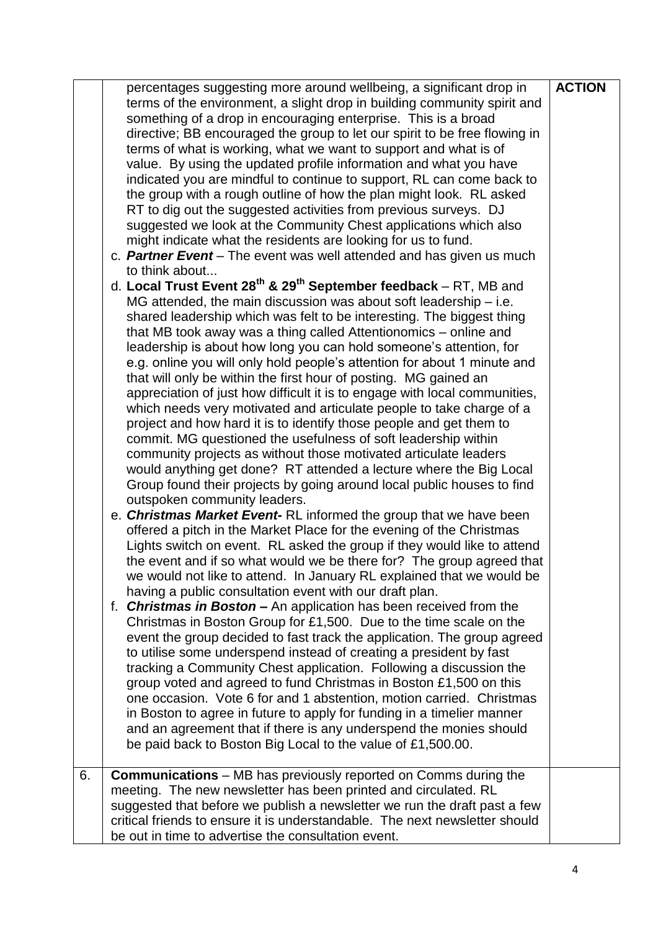|    | percentages suggesting more around wellbeing, a significant drop in<br>terms of the environment, a slight drop in building community spirit and<br>something of a drop in encouraging enterprise. This is a broad<br>directive; BB encouraged the group to let our spirit to be free flowing in<br>terms of what is working, what we want to support and what is of<br>value. By using the updated profile information and what you have<br>indicated you are mindful to continue to support, RL can come back to<br>the group with a rough outline of how the plan might look. RL asked<br>RT to dig out the suggested activities from previous surveys. DJ<br>suggested we look at the Community Chest applications which also<br>might indicate what the residents are looking for us to fund.<br>c. Partner Event – The event was well attended and has given us much<br>to think about<br>d. Local Trust Event $28^{th}$ & $29^{th}$ September feedback – RT, MB and<br>MG attended, the main discussion was about soft leadership $-$ i.e.<br>shared leadership which was felt to be interesting. The biggest thing<br>that MB took away was a thing called Attentionomics – online and<br>leadership is about how long you can hold someone's attention, for<br>e.g. online you will only hold people's attention for about 1 minute and<br>that will only be within the first hour of posting. MG gained an<br>appreciation of just how difficult it is to engage with local communities,<br>which needs very motivated and articulate people to take charge of a<br>project and how hard it is to identify those people and get them to<br>commit. MG questioned the usefulness of soft leadership within<br>community projects as without those motivated articulate leaders<br>would anything get done? RT attended a lecture where the Big Local<br>Group found their projects by going around local public houses to find<br>outspoken community leaders.<br>e. Christmas Market Event-RL informed the group that we have been<br>offered a pitch in the Market Place for the evening of the Christmas<br>Lights switch on event. RL asked the group if they would like to attend<br>the event and if so what would we be there for? The group agreed that<br>we would not like to attend. In January RL explained that we would be<br>having a public consultation event with our draft plan.<br>f. Christmas in Boston - An application has been received from the<br>Christmas in Boston Group for £1,500. Due to the time scale on the<br>event the group decided to fast track the application. The group agreed<br>to utilise some underspend instead of creating a president by fast<br>tracking a Community Chest application. Following a discussion the<br>group voted and agreed to fund Christmas in Boston £1,500 on this<br>one occasion. Vote 6 for and 1 abstention, motion carried. Christmas<br>in Boston to agree in future to apply for funding in a timelier manner<br>and an agreement that if there is any underspend the monies should<br>be paid back to Boston Big Local to the value of £1,500.00. | <b>ACTION</b> |
|----|--------------------------------------------------------------------------------------------------------------------------------------------------------------------------------------------------------------------------------------------------------------------------------------------------------------------------------------------------------------------------------------------------------------------------------------------------------------------------------------------------------------------------------------------------------------------------------------------------------------------------------------------------------------------------------------------------------------------------------------------------------------------------------------------------------------------------------------------------------------------------------------------------------------------------------------------------------------------------------------------------------------------------------------------------------------------------------------------------------------------------------------------------------------------------------------------------------------------------------------------------------------------------------------------------------------------------------------------------------------------------------------------------------------------------------------------------------------------------------------------------------------------------------------------------------------------------------------------------------------------------------------------------------------------------------------------------------------------------------------------------------------------------------------------------------------------------------------------------------------------------------------------------------------------------------------------------------------------------------------------------------------------------------------------------------------------------------------------------------------------------------------------------------------------------------------------------------------------------------------------------------------------------------------------------------------------------------------------------------------------------------------------------------------------------------------------------------------------------------------------------------------------------------------------------------------------------------------------------------------------------------------------------------------------------------------------------------------------------------------------------------------------------------------------------------------------------------------------------------------------------------------------------------------------------------------------------------------------------------------------------------------------------------------------------------------------------------------------------------------------------------------------|---------------|
| 6. | <b>Communications</b> – MB has previously reported on Comms during the<br>meeting. The new newsletter has been printed and circulated. RL<br>suggested that before we publish a newsletter we run the draft past a few<br>critical friends to ensure it is understandable. The next newsletter should                                                                                                                                                                                                                                                                                                                                                                                                                                                                                                                                                                                                                                                                                                                                                                                                                                                                                                                                                                                                                                                                                                                                                                                                                                                                                                                                                                                                                                                                                                                                                                                                                                                                                                                                                                                                                                                                                                                                                                                                                                                                                                                                                                                                                                                                                                                                                                                                                                                                                                                                                                                                                                                                                                                                                                                                                                      |               |
|    | be out in time to advertise the consultation event.                                                                                                                                                                                                                                                                                                                                                                                                                                                                                                                                                                                                                                                                                                                                                                                                                                                                                                                                                                                                                                                                                                                                                                                                                                                                                                                                                                                                                                                                                                                                                                                                                                                                                                                                                                                                                                                                                                                                                                                                                                                                                                                                                                                                                                                                                                                                                                                                                                                                                                                                                                                                                                                                                                                                                                                                                                                                                                                                                                                                                                                                                        |               |